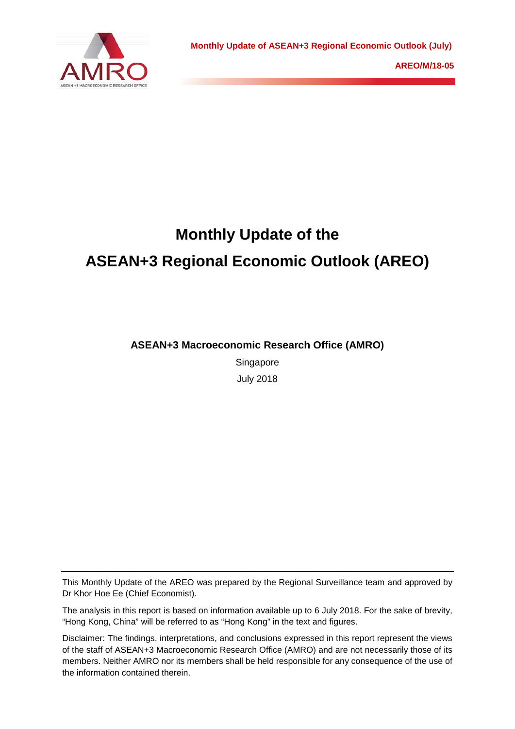

# **Monthly Update of the ASEAN+3 Regional Economic Outlook (AREO)**

**ASEAN+3 Macroeconomic Research Office (AMRO)**

Singapore July 2018

This Monthly Update of the AREO was prepared by the Regional Surveillance team and approved by Dr Khor Hoe Ee (Chief Economist).

The analysis in this report is based on information available up to 6 July 2018. For the sake of brevity, "Hong Kong, China" will be referred to as "Hong Kong" in the text and figures.

Disclaimer: The findings, interpretations, and conclusions expressed in this report represent the views of the staff of ASEAN+3 Macroeconomic Research Office (AMRO) and are not necessarily those of its members. Neither AMRO nor its members shall be held responsible for any consequence of the use of the information contained therein.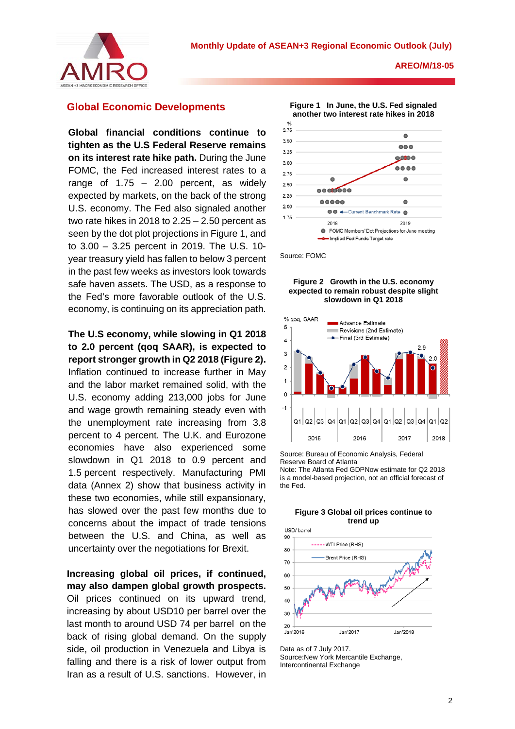

## **Global Economic Developments**

**Global financial conditions continue to tighten as the U.S Federal Reserve remains on its interest rate hike path.** During the June FOMC, the Fed increased interest rates to a range of  $1.75 - 2.00$  percent, as widely expected by markets, on the back of the strong U.S. economy. The Fed also signaled another two rate hikes in 2018 to 2.25 – 2.50 percent as seen by the dot plot projections in Figure 1, and to 3.00 – 3.25 percent in 2019. The U.S. 10 year treasury yield has fallen to below 3 percent in the past few weeks as investors look towards safe haven assets. The USD, as a response to the Fed's more favorable outlook of the U.S. economy, is continuing on its appreciation path.

# **The U.S economy, while slowing in Q1 2018 to 2.0 percent (qoq SAAR), is expected to report stronger growth in Q2 2018 (Figure 2).**

Inflation continued to increase further in May and the labor market remained solid, with the U.S. economy adding 213,000 jobs for June and wage growth remaining steady even with the unemployment rate increasing from 3.8 percent to 4 percent. The U.K. and Eurozone economies have also experienced some slowdown in Q1 2018 to 0.9 percent and 1.5 percent respectively. Manufacturing PMI data (Annex 2) show that business activity in these two economies, while still expansionary, has slowed over the past few months due to concerns about the impact of trade tensions between the U.S. and China, as well as uncertainty over the negotiations for Brexit.

**Increasing global oil prices, if continued, may also dampen global growth prospects.** Oil prices continued on its upward trend, increasing by about USD10 per barrel over the last month to around USD 74 per barrel on the back of rising global demand. On the supply side, oil production in Venezuela and Libya is falling and there is a risk of lower output from Iran as a result of U.S. sanctions. However, in



Source: FOMC

#### **Figure 2 Growth in the U.S. economy expected to remain robust despite slight slowdown in Q1 2018**



Source: Bureau of Economic Analysis, Federal Reserve Board of Atlanta

Note: The Atlanta Fed GDPNow estimate for Q2 2018 is a model-based projection, not an official forecast of the Fed.





Data as of 7 July 2017. Source:New York Mercantile Exchange, Intercontinental Exchange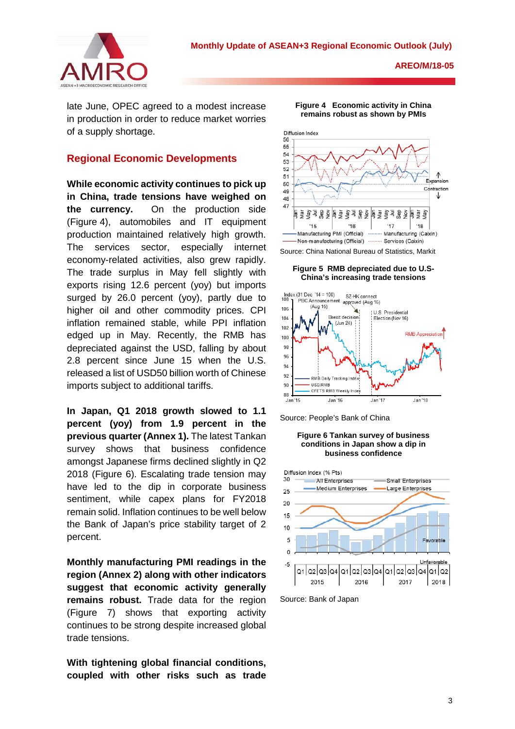

late June, OPEC agreed to a modest increase in production in order to reduce market worries of a supply shortage.

## **Regional Economic Developments**

**While economic activity continues to pick up in China, trade tensions have weighed on the currency.** On the production side (Figure 4), automobiles and IT equipment production maintained relatively high growth. The services sector, especially internet economy-related activities, also grew rapidly. The trade surplus in May fell slightly with exports rising 12.6 percent (yoy) but imports surged by 26.0 percent (yoy), partly due to higher oil and other commodity prices. CPI inflation remained stable, while PPI inflation edged up in May. Recently, the RMB has depreciated against the USD, falling by about 2.8 percent since June 15 when the U.S. released a list of USD50 billion worth of Chinese imports subject to additional tariffs.

**In Japan, Q1 2018 growth slowed to 1.1 percent (yoy) from 1.9 percent in the previous quarter (Annex 1).** The latest Tankan survey shows that business confidence amongst Japanese firms declined slightly in Q2 2018 (Figure 6). Escalating trade tension may have led to the dip in corporate business sentiment, while capex plans for FY2018 remain solid. Inflation continues to be well below the Bank of Japan's price stability target of 2 percent.

**Monthly manufacturing PMI readings in the region (Annex 2) along with other indicators suggest that economic activity generally remains robust.** Trade data for the region (Figure 7) shows that exporting activity continues to be strong despite increased global trade tensions.

**With tightening global financial conditions, coupled with other risks such as trade** 



**Figure 4 Economic activity in China remains robust as shown by PMIs**

## **Figure 5 RMB depreciated due to U.S-China's increasing trade tensions**



Source: People's Bank of China

#### **Figure 6 Tankan survey of business conditions in Japan show a dip in business confidence**



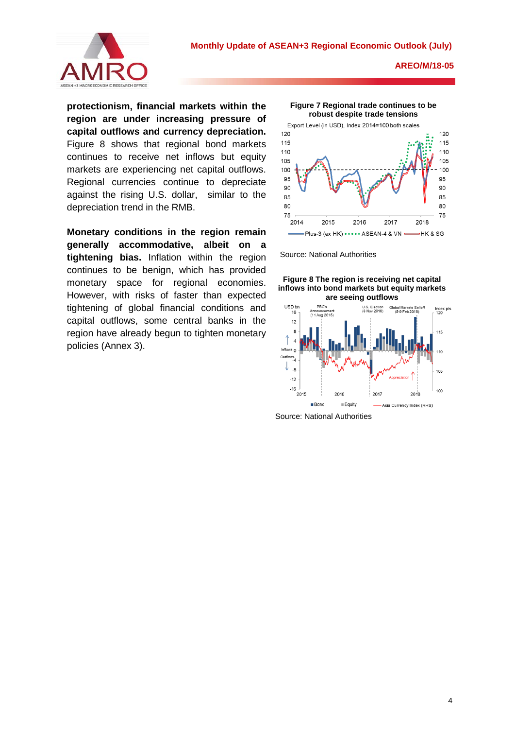

**protectionism, financial markets within the region are under increasing pressure of capital outflows and currency depreciation.**  Figure 8 shows that regional bond markets continues to receive net inflows but equity markets are experiencing net capital outflows. Regional currencies continue to depreciate against the rising U.S. dollar, similar to the depreciation trend in the RMB.

**Monetary conditions in the region remain generally accommodative, albeit on a tightening bias.** Inflation within the region continues to be benign, which has provided monetary space for regional economies. However, with risks of faster than expected tightening of global financial conditions and capital outflows, some central banks in the region have already begun to tighten monetary policies (Annex 3).





Source: National Authorities





Source: National Authorities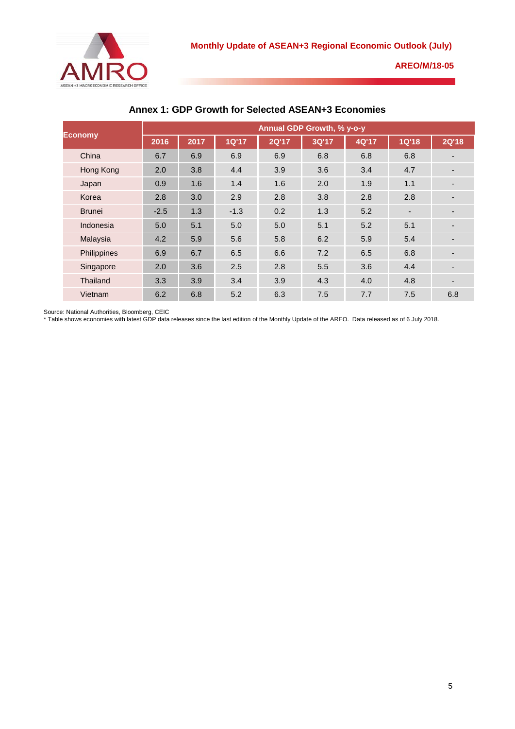

| <b>Economy</b> | <b>Annual GDP Growth, % y-o-y</b> |      |              |              |       |       |                          |                          |
|----------------|-----------------------------------|------|--------------|--------------|-------|-------|--------------------------|--------------------------|
|                | 2016                              | 2017 | <b>1Q'17</b> | <b>2Q'17</b> | 3Q'17 | 4Q'17 | <b>1Q'18</b>             | <b>2Q'18</b>             |
| China          | 6.7                               | 6.9  | 6.9          | 6.9          | 6.8   | 6.8   | 6.8                      |                          |
| Hong Kong      | 2.0                               | 3.8  | 4.4          | 3.9          | 3.6   | 3.4   | 4.7                      |                          |
| Japan          | 0.9                               | 1.6  | 1.4          | 1.6          | 2.0   | 1.9   | 1.1                      | $\overline{\phantom{a}}$ |
| Korea          | 2.8                               | 3.0  | 2.9          | 2.8          | 3.8   | 2.8   | 2.8                      |                          |
| <b>Brunei</b>  | $-2.5$                            | 1.3  | $-1.3$       | 0.2          | 1.3   | 5.2   | $\overline{\phantom{a}}$ |                          |
| Indonesia      | 5.0                               | 5.1  | 5.0          | 5.0          | 5.1   | 5.2   | 5.1                      |                          |
| Malaysia       | 4.2                               | 5.9  | 5.6          | 5.8          | 6.2   | 5.9   | 5.4                      |                          |
| Philippines    | 6.9                               | 6.7  | 6.5          | 6.6          | 7.2   | 6.5   | 6.8                      |                          |
| Singapore      | 2.0                               | 3.6  | 2.5          | 2.8          | 5.5   | 3.6   | 4.4                      |                          |
| Thailand       | 3.3                               | 3.9  | 3.4          | 3.9          | 4.3   | 4.0   | 4.8                      |                          |
| Vietnam        | 6.2                               | 6.8  | 5.2          | 6.3          | 7.5   | 7.7   | 7.5                      | 6.8                      |

## **Annex 1: GDP Growth for Selected ASEAN+3 Economies**

Source: National Authorities, Bloomberg, CEIC

\* Table shows economies with latest GDP data releases since the last edition of the Monthly Update of the AREO. Data released as of 6 July 2018.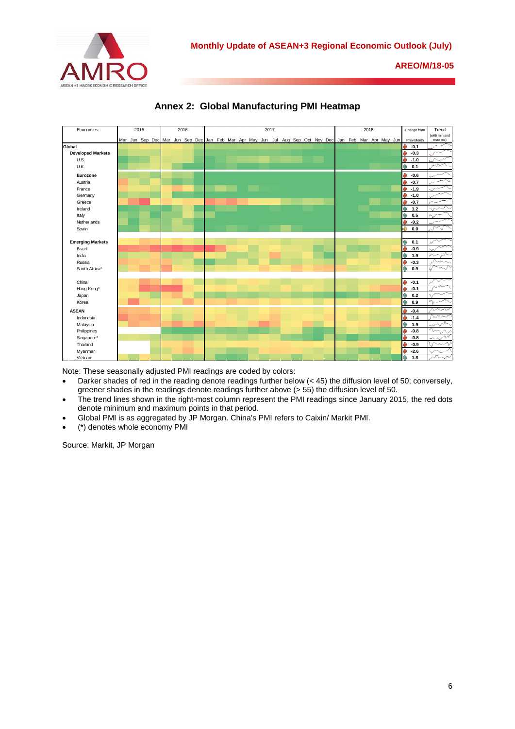





Note: These seasonally adjusted PMI readings are coded by colors:

- Darker shades of red in the reading denote readings further below (< 45) the diffusion level of 50; conversely, greener shades in the readings denote readings further above (> 55) the diffusion level of 50.
- The trend lines shown in the right-most column represent the PMI readings since January 2015, the red dots denote minimum and maximum points in that period.
- Global PMI is as aggregated by JP Morgan. China's PMI refers to Caixin/ Markit PMI.
- (\*) denotes whole economy PMI

Source: Markit, JP Morgan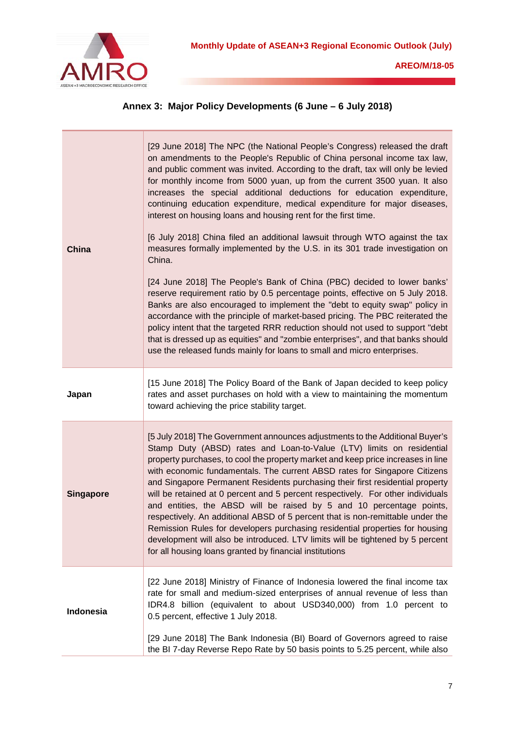

| Annex 3: Major Policy Developments (6 June - 6 July 2018) |  |  |  |  |  |
|-----------------------------------------------------------|--|--|--|--|--|
|-----------------------------------------------------------|--|--|--|--|--|

| China            | [29 June 2018] The NPC (the National People's Congress) released the draft<br>on amendments to the People's Republic of China personal income tax law,<br>and public comment was invited. According to the draft, tax will only be levied<br>for monthly income from 5000 yuan, up from the current 3500 yuan. It also<br>increases the special additional deductions for education expenditure,<br>continuing education expenditure, medical expenditure for major diseases,<br>interest on housing loans and housing rent for the first time.<br>[6 July 2018] China filed an additional lawsuit through WTO against the tax<br>measures formally implemented by the U.S. in its 301 trade investigation on<br>China.<br>[24 June 2018] The People's Bank of China (PBC) decided to lower banks'<br>reserve requirement ratio by 0.5 percentage points, effective on 5 July 2018.<br>Banks are also encouraged to implement the "debt to equity swap" policy in<br>accordance with the principle of market-based pricing. The PBC reiterated the<br>policy intent that the targeted RRR reduction should not used to support "debt<br>that is dressed up as equities" and "zombie enterprises", and that banks should<br>use the released funds mainly for loans to small and micro enterprises. |
|------------------|----------------------------------------------------------------------------------------------------------------------------------------------------------------------------------------------------------------------------------------------------------------------------------------------------------------------------------------------------------------------------------------------------------------------------------------------------------------------------------------------------------------------------------------------------------------------------------------------------------------------------------------------------------------------------------------------------------------------------------------------------------------------------------------------------------------------------------------------------------------------------------------------------------------------------------------------------------------------------------------------------------------------------------------------------------------------------------------------------------------------------------------------------------------------------------------------------------------------------------------------------------------------------------------------------|
| Japan            | [15 June 2018] The Policy Board of the Bank of Japan decided to keep policy<br>rates and asset purchases on hold with a view to maintaining the momentum<br>toward achieving the price stability target.                                                                                                                                                                                                                                                                                                                                                                                                                                                                                                                                                                                                                                                                                                                                                                                                                                                                                                                                                                                                                                                                                           |
| <b>Singapore</b> | [5 July 2018] The Government announces adjustments to the Additional Buyer's<br>Stamp Duty (ABSD) rates and Loan-to-Value (LTV) limits on residential<br>property purchases, to cool the property market and keep price increases in line<br>with economic fundamentals. The current ABSD rates for Singapore Citizens<br>and Singapore Permanent Residents purchasing their first residential property<br>will be retained at 0 percent and 5 percent respectively. For other individuals<br>and entities, the ABSD will be raised by 5 and 10 percentage points,<br>respectively. An additional ABSD of 5 percent that is non-remittable under the<br>Remission Rules for developers purchasing residential properties for housing<br>development will also be introduced. LTV limits will be tightened by 5 percent<br>for all housing loans granted by financial institutions                                                                                                                                                                                                                                                                                                                                                                                                                  |
| Indonesia        | [22 June 2018] Ministry of Finance of Indonesia lowered the final income tax<br>rate for small and medium-sized enterprises of annual revenue of less than<br>IDR4.8 billion (equivalent to about USD340,000) from 1.0 percent to<br>0.5 percent, effective 1 July 2018.<br>[29 June 2018] The Bank Indonesia (BI) Board of Governors agreed to raise<br>the BI 7-day Reverse Repo Rate by 50 basis points to 5.25 percent, while also                                                                                                                                                                                                                                                                                                                                                                                                                                                                                                                                                                                                                                                                                                                                                                                                                                                             |